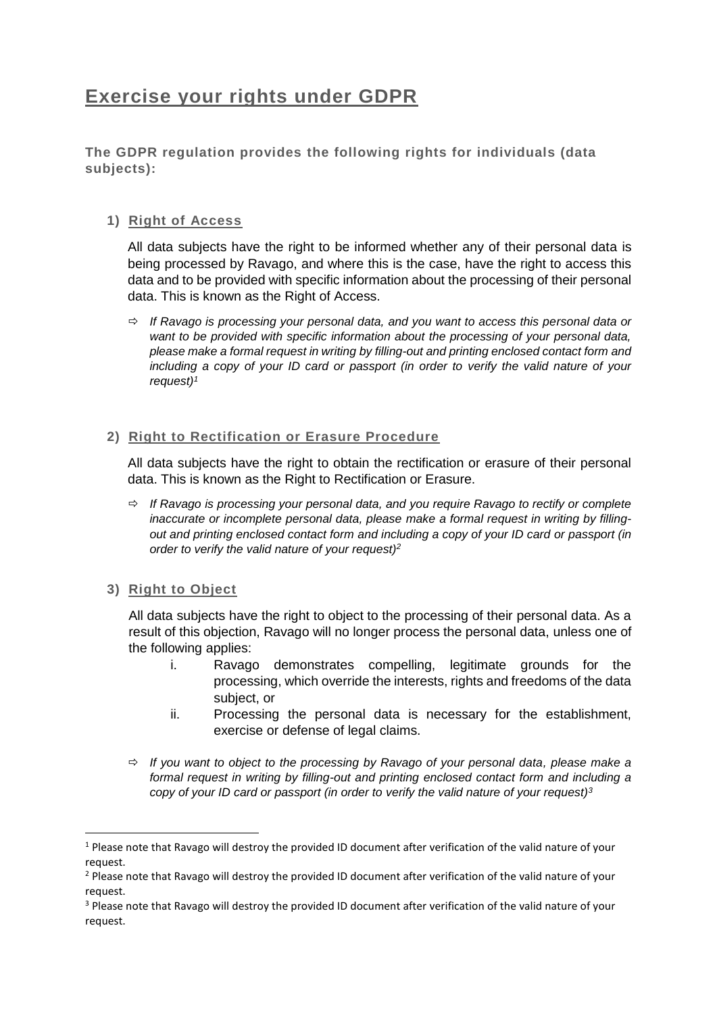## **Exercise your rights under GDPR**

**The GDPR regulation provides the following rights for individuals (data subjects):**

### **1) Right of Access**

All data subjects have the right to be informed whether any of their personal data is being processed by Ravago, and where this is the case, have the right to access this data and to be provided with specific information about the processing of their personal data. This is known as the Right of Access.

 *If Ravago is processing your personal data, and you want to access this personal data or want to be provided with specific information about the processing of your personal data, please make a formal request in writing by filling-out and printing enclosed contact form and including a copy of your ID card or passport (in order to verify the valid nature of your request)<sup>1</sup>*

#### **2) Right to Rectification or Erasure Procedure**

All data subjects have the right to obtain the rectification or erasure of their personal data. This is known as the Right to Rectification or Erasure.

- *If Ravago is processing your personal data, and you require Ravago to rectify or complete inaccurate or incomplete personal data, please make a formal request in writing by fillingout and printing enclosed contact form and including a copy of your ID card or passport (in order to verify the valid nature of your request)<sup>2</sup>*
- **3) Right to Object**

1

All data subjects have the right to object to the processing of their personal data. As a result of this objection, Ravago will no longer process the personal data, unless one of the following applies:

- i. Ravago demonstrates compelling, legitimate grounds for the processing, which override the interests, rights and freedoms of the data subject, or
- ii. Processing the personal data is necessary for the establishment, exercise or defense of legal claims.
- *If you want to object to the processing by Ravago of your personal data, please make a formal request in writing by filling-out and printing enclosed contact form and including a copy of your ID card or passport (in order to verify the valid nature of your request)<sup>3</sup>*

<sup>1</sup> Please note that Ravago will destroy the provided ID document after verification of the valid nature of your request.

<sup>&</sup>lt;sup>2</sup> Please note that Ravago will destroy the provided ID document after verification of the valid nature of your request.

<sup>&</sup>lt;sup>3</sup> Please note that Ravago will destroy the provided ID document after verification of the valid nature of your request.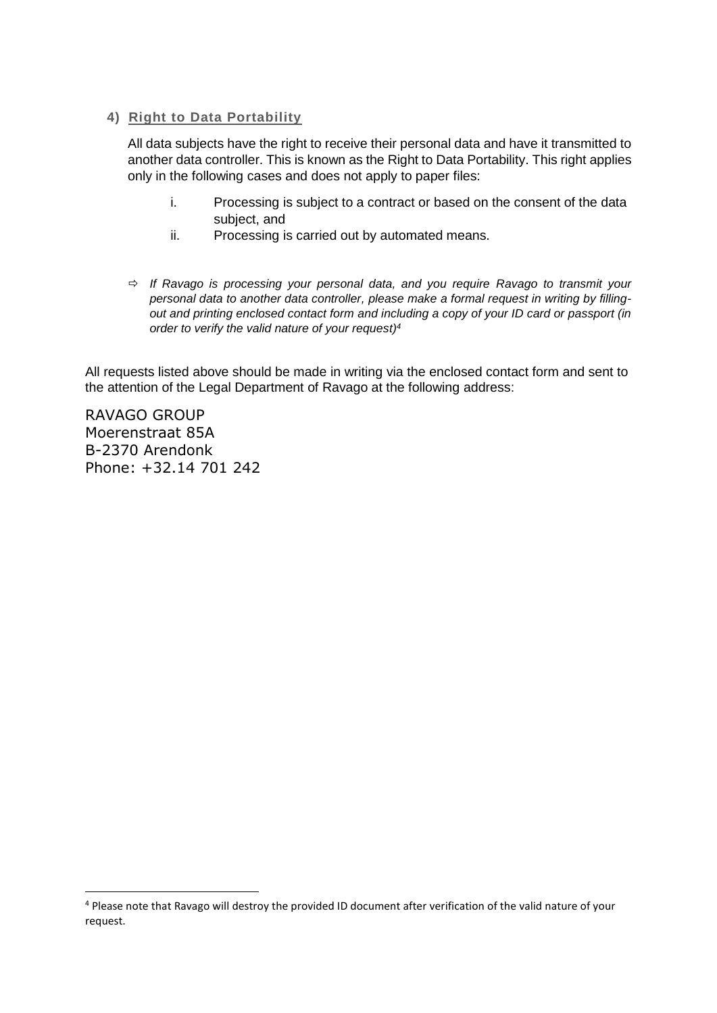#### **4) Right to Data Portability**

All data subjects have the right to receive their personal data and have it transmitted to another data controller. This is known as the Right to Data Portability. This right applies only in the following cases and does not apply to paper files:

- i. Processing is subject to a contract or based on the consent of the data subject, and
- ii. Processing is carried out by automated means.
- *If Ravago is processing your personal data, and you require Ravago to transmit your personal data to another data controller, please make a formal request in writing by fillingout and printing enclosed contact form and including a copy of your ID card or passport (in order to verify the valid nature of your request)<sup>4</sup>*

All requests listed above should be made in writing via the enclosed contact form and sent to the attention of the Legal Department of Ravago at the following address:

RAVAGO GROUP Moerenstraat 85A B-2370 Arendonk Phone: +32.14 701 242

**.** 

<sup>4</sup> Please note that Ravago will destroy the provided ID document after verification of the valid nature of your request.